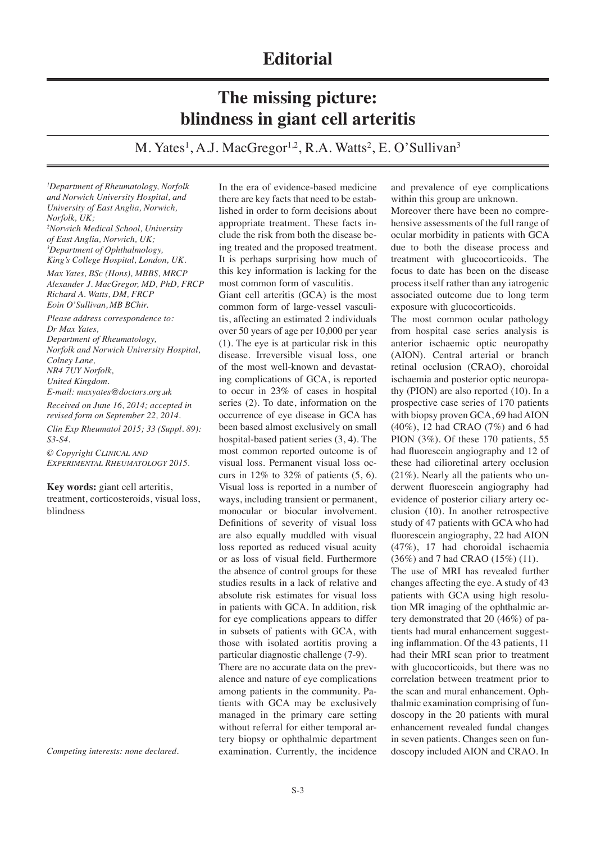## **The missing picture: blindness in giant cell arteritis**

M. Yates<sup>1</sup>, A.J. MacGregor<sup>1,2</sup>, R.A. Watts<sup>2</sup>, E. O'Sullivan<sup>3</sup>

*1 Department of Rheumatology, Norfolk and Norwich University Hospital, and University of East Anglia, Norwich, Norfolk, UK; 2 Norwich Medical School, University of East Anglia, Norwich, UK; 3 Department of Ophthalmology, King's College Hospital, London, UK. Max Yates, BSc (Hons), MBBS, MRCP Alexander J. MacGregor, MD, PhD, FRCP Richard A. Watts, DM, FRCP*

*Eoin O'Sullivan, MB BChir. Please address correspondence to: Dr Max Yates, Department of Rheumatology, Norfolk and Norwich University Hospital, Colney Lane,* 

*NR4 7UY Norfolk,* 

*United Kingdom.*

*E-mail: maxyates@doctors.org.uk*

*Received on June 16, 2014; accepted in revised form on September 22, 2014.*

*Clin Exp Rheumatol 2015; 33 (Suppl. 89): S3-S4.*

*© Copyright Clinical and Experimental Rheumatology 2015.*

**Key words:** giant cell arteritis,

treatment, corticosteroids, visual loss, blindness

*Competing interests: none declared.* 

In the era of evidence-based medicine there are key facts that need to be established in order to form decisions about appropriate treatment. These facts include the risk from both the disease being treated and the proposed treatment. It is perhaps surprising how much of this key information is lacking for the most common form of vasculitis.

Giant cell arteritis (GCA) is the most common form of large-vessel vasculitis, affecting an estimated 2 individuals over 50 years of age per 10,000 per year (1). The eye is at particular risk in this disease. Irreversible visual loss, one of the most well-known and devastating complications of GCA, is reported to occur in 23% of cases in hospital series (2). To date, information on the occurrence of eye disease in GCA has been based almost exclusively on small hospital-based patient series (3, 4). The most common reported outcome is of visual loss. Permanent visual loss occurs in  $12\%$  to  $32\%$  of patients  $(5, 6)$ . Visual loss is reported in a number of ways, including transient or permanent, monocular or biocular involvement. Definitions of severity of visual loss are also equally muddled with visual loss reported as reduced visual acuity or as loss of visual field. Furthermore the absence of control groups for these studies results in a lack of relative and absolute risk estimates for visual loss in patients with GCA. In addition, risk for eye complications appears to differ in subsets of patients with GCA, with those with isolated aortitis proving a particular diagnostic challenge (7-9). There are no accurate data on the prevalence and nature of eye complications among patients in the community. Patients with GCA may be exclusively managed in the primary care setting without referral for either temporal artery biopsy or ophthalmic department examination. Currently, the incidence

and prevalence of eye complications within this group are unknown.

Moreover there have been no comprehensive assessments of the full range of ocular morbidity in patients with GCA due to both the disease process and treatment with glucocorticoids. The focus to date has been on the disease process itself rather than any iatrogenic associated outcome due to long term exposure with glucocorticoids.

The most common ocular pathology from hospital case series analysis is anterior ischaemic optic neuropathy (AION). Central arterial or branch retinal occlusion (CRAO), choroidal ischaemia and posterior optic neuropathy (PION) are also reported (10). In a prospective case series of 170 patients with biopsy proven GCA, 69 had AION (40%), 12 had CRAO (7%) and 6 had PION (3%). Of these 170 patients, 55 had fluorescein angiography and 12 of these had cilioretinal artery occlusion (21%). Nearly all the patients who underwent fluorescein angiography had evidence of posterior ciliary artery occlusion (10). In another retrospective study of 47 patients with GCA who had fluorescein angiography, 22 had AION (47%), 17 had choroidal ischaemia (36%) and 7 had CRAO (15%) (11).

The use of MRI has revealed further changes affecting the eye. A study of 43 patients with GCA using high resolution MR imaging of the ophthalmic artery demonstrated that 20 (46%) of patients had mural enhancement suggesting inflammation. Of the 43 patients, 11 had their MRI scan prior to treatment with glucocorticoids, but there was no correlation between treatment prior to the scan and mural enhancement. Ophthalmic examination comprising of fundoscopy in the 20 patients with mural enhancement revealed fundal changes in seven patients. Changes seen on fundoscopy included AION and CRAO. In